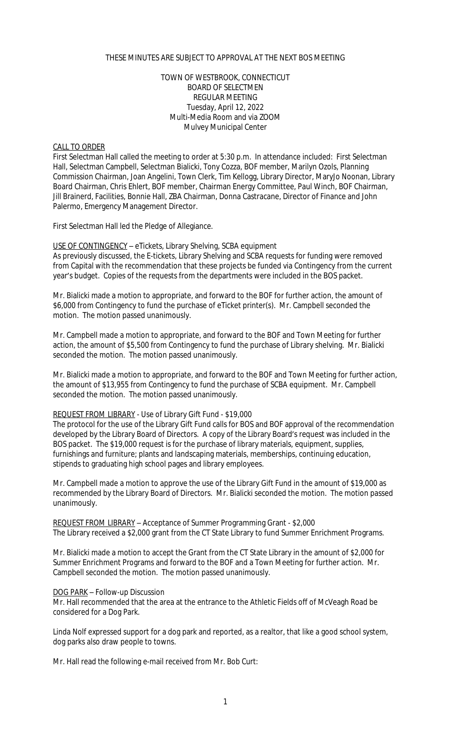## THESE MINUTES ARE SUBJECT TO APPROVAL AT THE NEXT BOS MEETING

### TOWN OF WESTBROOK, CONNECTICUT BOARD OF SELECTMEN REGULAR MEETING Tuesday, April 12, 2022 Multi-Media Room and via ZOOM Mulvey Municipal Center

#### CALL TO ORDER

First Selectman Hall called the meeting to order at 5:30 p.m. In attendance included: First Selectman Hall, Selectman Campbell, Selectman Bialicki, Tony Cozza, BOF member, Marilyn Ozols, Planning Commission Chairman, Joan Angelini, Town Clerk, Tim Kellogg, Library Director, MaryJo Noonan, Library Board Chairman, Chris Ehlert, BOF member, Chairman Energy Committee, Paul Winch, BOF Chairman, Jill Brainerd, Facilities, Bonnie Hall, ZBA Chairman, Donna Castracane, Director of Finance and John Palermo, Emergency Management Director.

First Selectman Hall led the Pledge of Allegiance.

USE OF CONTINGENCY – eTickets, Library Shelving, SCBA equipment As previously discussed, the E-tickets, Library Shelving and SCBA requests for funding were removed from Capital with the recommendation that these projects be funded via Contingency from the current year's budget. Copies of the requests from the departments were included in the BOS packet.

Mr. Bialicki made a motion to appropriate, and forward to the BOF for further action, the amount of \$6,000 from Contingency to fund the purchase of eTicket printer(s). Mr. Campbell seconded the motion. The motion passed unanimously.

Mr. Campbell made a motion to appropriate, and forward to the BOF and Town Meeting for further action, the amount of \$5,500 from Contingency to fund the purchase of Library shelving. Mr. Bialicki seconded the motion. The motion passed unanimously.

Mr. Bialicki made a motion to appropriate, and forward to the BOF and Town Meeting for further action, the amount of \$13,955 from Contingency to fund the purchase of SCBA equipment. Mr. Campbell seconded the motion. The motion passed unanimously.

# REQUEST FROM LIBRARY - Use of Library Gift Fund - \$19,000

The protocol for the use of the Library Gift Fund calls for BOS and BOF approval of the recommendation developed by the Library Board of Directors. A copy of the Library Board's request was included in the BOS packet. The \$19,000 request is for the purchase of library materials, equipment, supplies, furnishings and furniture; plants and landscaping materials, memberships, continuing education, stipends to graduating high school pages and library employees.

Mr. Campbell made a motion to approve the use of the Library Gift Fund in the amount of \$19,000 as recommended by the Library Board of Directors. Mr. Bialicki seconded the motion. The motion passed unanimously.

REQUEST FROM LIBRARY – Acceptance of Summer Programming Grant - \$2,000 The Library received a \$2,000 grant from the CT State Library to fund Summer Enrichment Programs.

Mr. Bialicki made a motion to accept the Grant from the CT State Library in the amount of \$2,000 for Summer Enrichment Programs and forward to the BOF and a Town Meeting for further action. Mr. Campbell seconded the motion. The motion passed unanimously.

### DOG PARK – Follow-up Discussion

Mr. Hall recommended that the area at the entrance to the Athletic Fields off of McVeagh Road be considered for a Dog Park.

Linda Nolf expressed support for a dog park and reported, as a realtor, that like a good school system, dog parks also draw people to towns.

Mr. Hall read the following e-mail received from Mr. Bob Curt: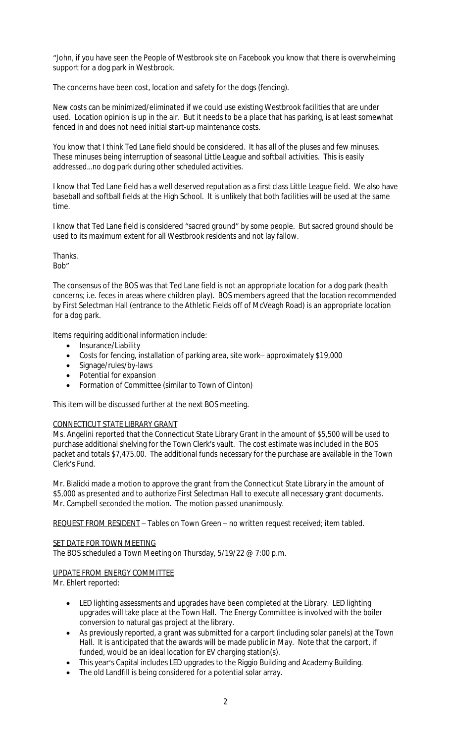"John, if you have seen the People of Westbrook site on Facebook you know that there is overwhelming support for a dog park in Westbrook.

The concerns have been cost, location and safety for the dogs (fencing).

New costs can be minimized/eliminated if we could use existing Westbrook facilities that are under used. Location opinion is up in the air. But it needs to be a place that has parking, is at least somewhat fenced in and does not need initial start-up maintenance costs.

You know that I think Ted Lane field should be considered. It has all of the pluses and few minuses. These minuses being interruption of seasonal Little League and softball activities. This is easily addressed…no dog park during other scheduled activities.

I know that Ted Lane field has a well deserved reputation as a first class Little League field. We also have baseball and softball fields at the High School. It is unlikely that both facilities will be used at the same time.

I know that Ted Lane field is considered "sacred ground" by some people. But sacred ground should be used to its maximum extent for all Westbrook residents and not lay fallow.

Thanks. Bob"

The consensus of the BOS was that Ted Lane field is not an appropriate location for a dog park (health concerns; i.e. feces in areas where children play). BOS members agreed that the location recommended by First Selectman Hall (entrance to the Athletic Fields off of McVeagh Road) is an appropriate location for a dog park.

Items requiring additional information include:

- Insurance/Liability
- Costs for fencing, installation of parking area, site work– approximately \$19,000
- Signage/rules/by-laws
- Potential for expansion
- Formation of Committee (similar to Town of Clinton)

This item will be discussed further at the next BOS meeting.

### CONNECTICUT STATE LIBRARY GRANT

Ms. Angelini reported that the Connecticut State Library Grant in the amount of \$5,500 will be used to purchase additional shelving for the Town Clerk's vault. The cost estimate was included in the BOS packet and totals \$7,475.00. The additional funds necessary for the purchase are available in the Town Clerk's Fund.

Mr. Bialicki made a motion to approve the grant from the Connecticut State Library in the amount of \$5,000 as presented and to authorize First Selectman Hall to execute all necessary grant documents. Mr. Campbell seconded the motion. The motion passed unanimously.

REQUEST FROM RESIDENT – Tables on Town Green – no written request received; item tabled.

## SET DATE FOR TOWN MEETING

The BOS scheduled a Town Meeting on Thursday, 5/19/22 @ 7:00 p.m.

## UPDATE FROM ENERGY COMMITTEE

Mr. Ehlert reported:

- LED lighting assessments and upgrades have been completed at the Library. LED lighting upgrades will take place at the Town Hall. The Energy Committee is involved with the boiler conversion to natural gas project at the library.
- As previously reported, a grant was submitted for a carport (including solar panels) at the Town Hall. It is anticipated that the awards will be made public in May. Note that the carport, if funded, would be an ideal location for EV charging station(s).
- This year's Capital includes LED upgrades to the Riggio Building and Academy Building.
- The old Landfill is being considered for a potential solar array.